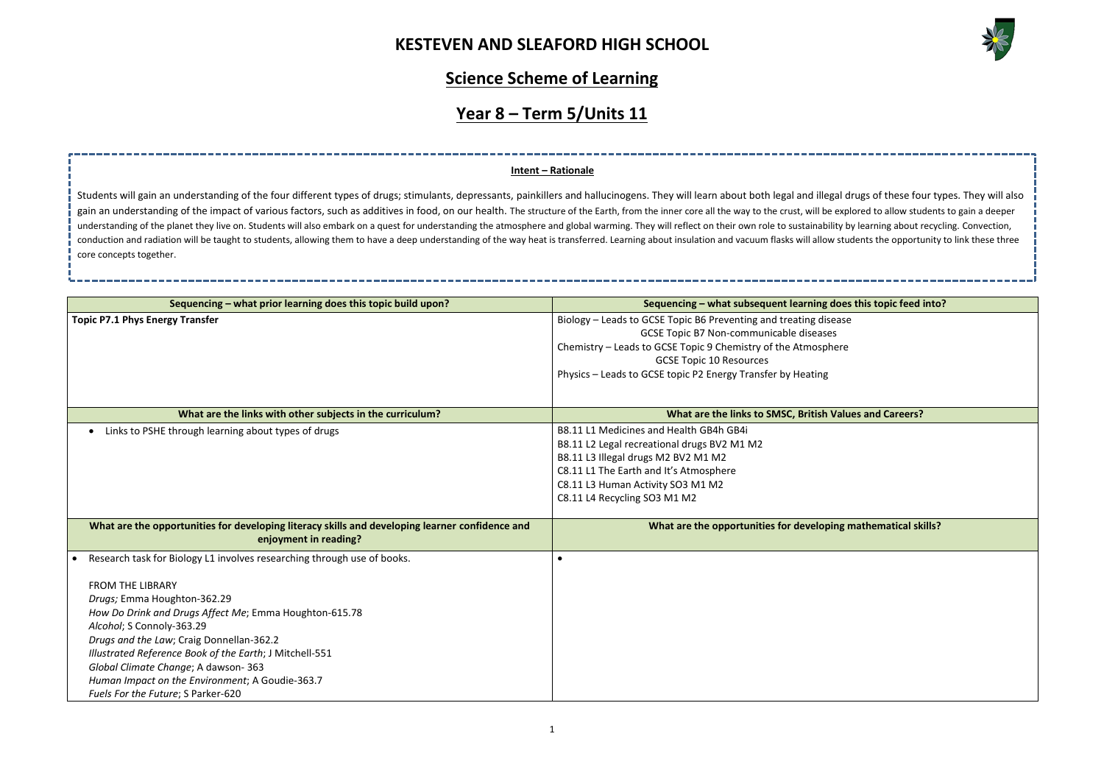

**Sequencing – what prior learning does this topic build upon? Sequencing – what subsequent learning does this topic feed into? Mathematical skills?** 

### **Science Scheme of Learning**

### **Year 8 – Term 5/Units 11**

| Sequencing - what prior learning does this topic build upon?                                                                                                                                                                                                                                                                                                                                                                                                    | Sequencing - what subsequent learning does this topic feed                                                                                                                                                                                                                    |
|-----------------------------------------------------------------------------------------------------------------------------------------------------------------------------------------------------------------------------------------------------------------------------------------------------------------------------------------------------------------------------------------------------------------------------------------------------------------|-------------------------------------------------------------------------------------------------------------------------------------------------------------------------------------------------------------------------------------------------------------------------------|
| <b>Topic P7.1 Phys Energy Transfer</b>                                                                                                                                                                                                                                                                                                                                                                                                                          | Biology - Leads to GCSE Topic B6 Preventing and treating disease<br>GCSE Topic B7 Non-communicable diseases<br>Chemistry - Leads to GCSE Topic 9 Chemistry of the Atmosphere<br><b>GCSE Topic 10 Resources</b><br>Physics - Leads to GCSE topic P2 Energy Transfer by Heating |
| What are the links with other subjects in the curriculum?                                                                                                                                                                                                                                                                                                                                                                                                       | What are the links to SMSC, British Values and Careers?                                                                                                                                                                                                                       |
| Links to PSHE through learning about types of drugs                                                                                                                                                                                                                                                                                                                                                                                                             | B8.11 L1 Medicines and Health GB4h GB4i<br>B8.11 L2 Legal recreational drugs BV2 M1 M2<br>B8.11 L3 Illegal drugs M2 BV2 M1 M2<br>C8.11 L1 The Earth and It's Atmosphere<br>C8.11 L3 Human Activity SO3 M1 M2<br>C8.11 L4 Recycling SO3 M1 M2                                  |
| What are the opportunities for developing literacy skills and developing learner confidence and<br>enjoyment in reading?                                                                                                                                                                                                                                                                                                                                        | What are the opportunities for developing mathematical sk                                                                                                                                                                                                                     |
| Research task for Biology L1 involves researching through use of books.<br><b>FROM THE LIBRARY</b><br>Drugs; Emma Houghton-362.29<br>How Do Drink and Drugs Affect Me; Emma Houghton-615.78<br>Alcohol; S Connoly-363.29<br>Drugs and the Law; Craig Donnellan-362.2<br>Illustrated Reference Book of the Earth; J Mitchell-551<br>Global Climate Change; A dawson-363<br>Human Impact on the Environment; A Goudie-363.7<br>Fuels For the Future; S Parker-620 | $\bullet$                                                                                                                                                                                                                                                                     |

Students will gain an understanding of the four different types of drugs; stimulants, depressants, painkillers and hallucinogens. They will learn about both legal and illegal drugs of these four types. They will also gain an understanding of the impact of various factors, such as additives in food, on our health. The structure of the Earth, from the inner core all the way to the crust, will be explored to allow students to gain a deepe understanding of the planet they live on. Students will also embark on a quest for understanding the atmosphere and global warming. They will reflect on their own role to sustainability by learning about recycling. Convect conduction and radiation will be taught to students, allowing them to have a deep understanding of the way heat is transferred. Learning about insulation and vacuum flasks will allow students the opportunity to link these core concepts together.

#### **Intent – Rationale**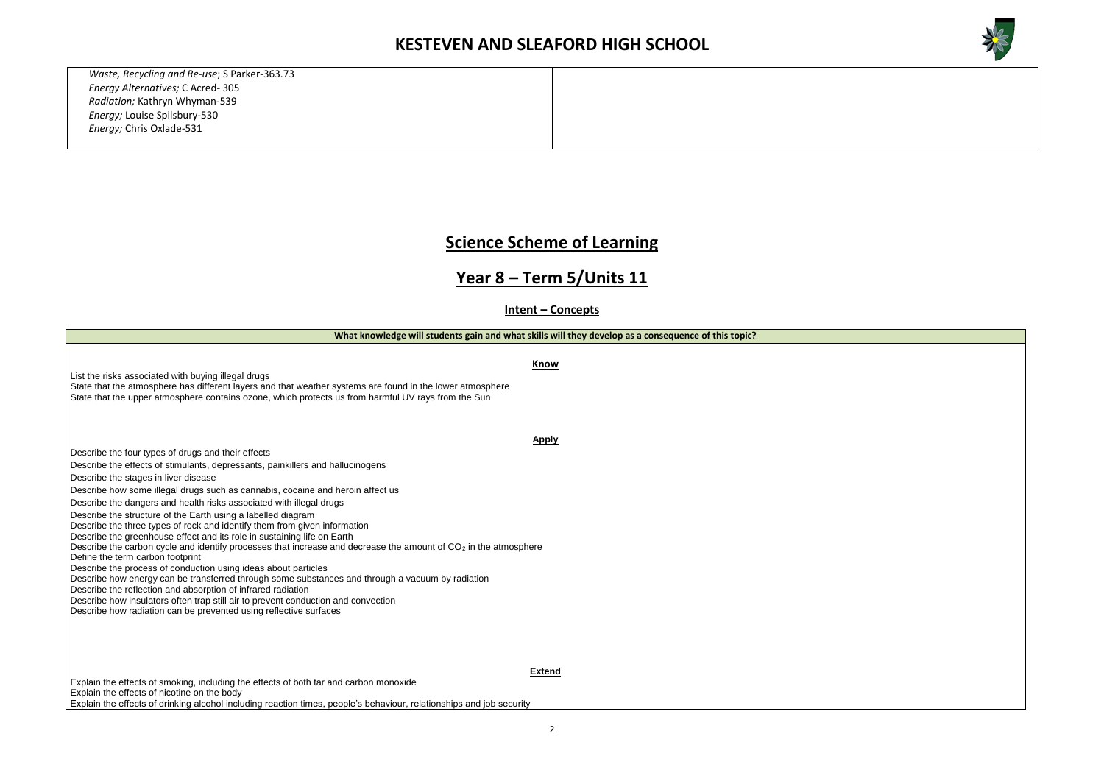*Waste, Recycling and Re-use*; S Parker-363.73 *Energy Alternatives;* C Acred- 305 *Radiation;* Kathryn Whyman-539 *Energy;* Louise Spilsbury-530 *Energy;* Chris Oxlade-531

### **Science Scheme of Learning**

### **Year 8 – Term 5/Units 11**

**Intent – Concepts**

**What knowledge will students gain and what skills will they develop as a consequence of this topic?**

**Know**

List the risks associated with buying illegal drugs State that the atmosphere has different layers and that weather systems are found in the lower atmosphere

State that the upper atmosphere contains ozone, which protects us from harmful UV rays from the Sun

**Apply**

Describe the four types of drugs and their effects

Describe the effects of stimulants, depressants, painkillers and hallucinogens

Describe the stages in liver disease

Describe how some illegal drugs such as cannabis, cocaine and heroin affect us

Describe the dangers and health risks associated with illegal drugs

Describe the structure of the Earth using a labelled diagram

Describe the three types of rock and identify them from given information

Describe the greenhouse effect and its role in sustaining life on Earth

Describe the carbon cycle and identify processes that increase and decrease the amount of  $CO<sub>2</sub>$  in the atmosphere

Define the term carbon footprint

Describe the process of conduction using ideas about particles

Describe how energy can be transferred through some substances and through a vacuum by radiation

Describe the reflection and absorption of infrared radiation

Describe how insulators often trap still air to prevent conduction and convection

Describe how radiation can be prevented using reflective surfaces

**Extend**



Explain the effects of smoking, including the effects of both tar and carbon monoxide Explain the effects of nicotine on the body Explain the effects of drinking alcohol including reaction times, people's behaviour, relationships and job security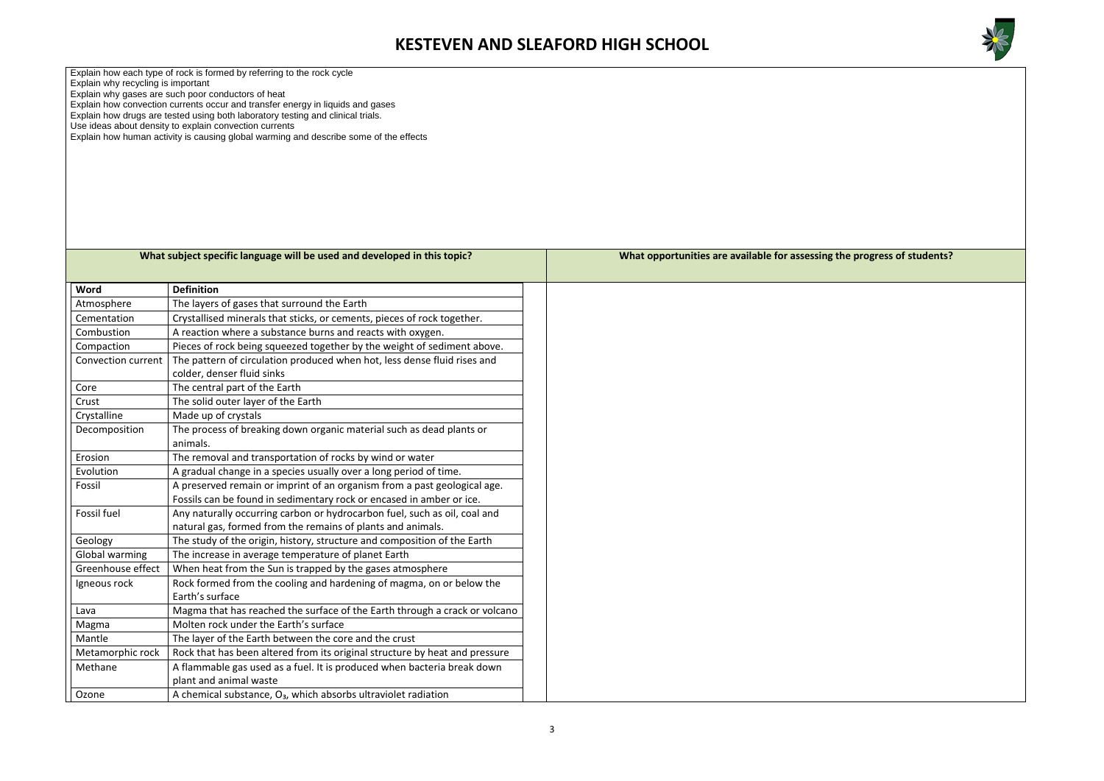

### **the progress of students?**

Explain how each type of rock is formed by referring to the rock cycle

Explain why recycling is important

Explain why gases are such poor conductors of heat

Explain how convection currents occur and transfer energy in liquids and gases

Explain how drugs are tested using both laboratory testing and clinical trials.

Use ideas about density to explain convection currents

Explain how human activity is causing global warming and describe some of the effects

|                    | What subject specific language will be used and developed in this topic?                                                                 |
|--------------------|------------------------------------------------------------------------------------------------------------------------------------------|
| Word               | <b>Definition</b>                                                                                                                        |
| Atmosphere         | The layers of gases that surround the Earth                                                                                              |
| Cementation        | Crystallised minerals that sticks, or cements, pieces of rock together.                                                                  |
| Combustion         | A reaction where a substance burns and reacts with oxygen.                                                                               |
| Compaction         | Pieces of rock being squeezed together by the weight of sediment above.                                                                  |
| Convection current | The pattern of circulation produced when hot, less dense fluid rises and<br>colder, denser fluid sinks                                   |
| Core               | The central part of the Earth                                                                                                            |
| Crust              | The solid outer layer of the Earth                                                                                                       |
| Crystalline        | Made up of crystals                                                                                                                      |
| Decomposition      | The process of breaking down organic material such as dead plants or<br>animals.                                                         |
| Erosion            | The removal and transportation of rocks by wind or water                                                                                 |
| Evolution          | A gradual change in a species usually over a long period of time.                                                                        |
| Fossil             | A preserved remain or imprint of an organism from a past geological age.                                                                 |
|                    | Fossils can be found in sedimentary rock or encased in amber or ice.                                                                     |
| Fossil fuel        | Any naturally occurring carbon or hydrocarbon fuel, such as oil, coal and<br>natural gas, formed from the remains of plants and animals. |
| Geology            | The study of the origin, history, structure and composition of the Earth                                                                 |
| Global warming     | The increase in average temperature of planet Earth                                                                                      |
| Greenhouse effect  | When heat from the Sun is trapped by the gases atmosphere                                                                                |
| Igneous rock       | Rock formed from the cooling and hardening of magma, on or below the<br>Earth's surface                                                  |
| Lava               | Magma that has reached the surface of the Earth through a crack or volcano                                                               |
| Magma              | Molten rock under the Earth's surface                                                                                                    |
| Mantle             | The layer of the Earth between the core and the crust                                                                                    |
| Metamorphic rock   | Rock that has been altered from its original structure by heat and pressure                                                              |
| Methane            | A flammable gas used as a fuel. It is produced when bacteria break down<br>plant and animal waste                                        |
| Ozone              | A chemical substance, $O_3$ , which absorbs ultraviolet radiation                                                                        |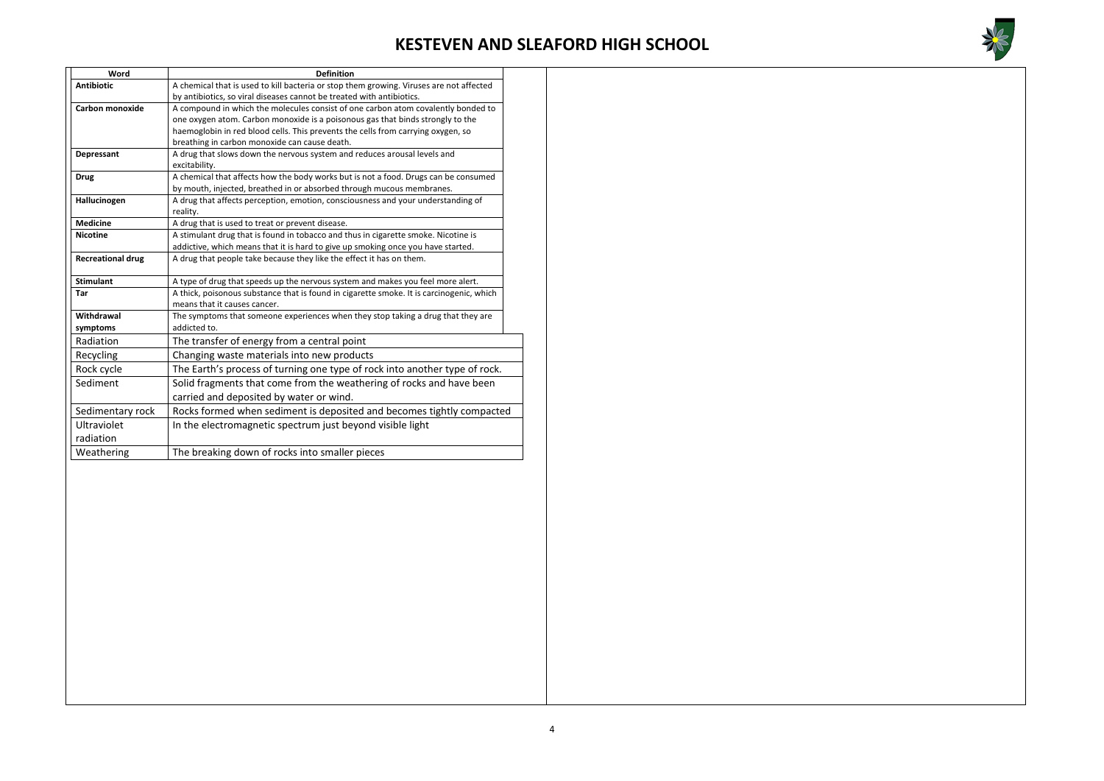

| Word                     | <b>Definition</b>                                                                        |  |
|--------------------------|------------------------------------------------------------------------------------------|--|
| <b>Antibiotic</b>        | A chemical that is used to kill bacteria or stop them growing. Viruses are not affected  |  |
|                          | by antibiotics, so viral diseases cannot be treated with antibiotics.                    |  |
| <b>Carbon monoxide</b>   | A compound in which the molecules consist of one carbon atom covalently bonded to        |  |
|                          | one oxygen atom. Carbon monoxide is a poisonous gas that binds strongly to the           |  |
|                          | haemoglobin in red blood cells. This prevents the cells from carrying oxygen, so         |  |
|                          | breathing in carbon monoxide can cause death.                                            |  |
| Depressant               | A drug that slows down the nervous system and reduces arousal levels and                 |  |
|                          | excitability.                                                                            |  |
| <b>Drug</b>              | A chemical that affects how the body works but is not a food. Drugs can be consumed      |  |
|                          | by mouth, injected, breathed in or absorbed through mucous membranes.                    |  |
| Hallucinogen             | A drug that affects perception, emotion, consciousness and your understanding of         |  |
| <b>Medicine</b>          | reality.<br>A drug that is used to treat or prevent disease.                             |  |
| <b>Nicotine</b>          | A stimulant drug that is found in tobacco and thus in cigarette smoke. Nicotine is       |  |
|                          | addictive, which means that it is hard to give up smoking once you have started.         |  |
| <b>Recreational drug</b> | A drug that people take because they like the effect it has on them.                     |  |
|                          |                                                                                          |  |
| <b>Stimulant</b>         | A type of drug that speeds up the nervous system and makes you feel more alert.          |  |
| Tar                      | A thick, poisonous substance that is found in cigarette smoke. It is carcinogenic, which |  |
|                          | means that it causes cancer.                                                             |  |
| Withdrawal               | The symptoms that someone experiences when they stop taking a drug that they are         |  |
| symptoms                 | addicted to.                                                                             |  |
| Radiation                | The transfer of energy from a central point                                              |  |
| Recycling                | Changing waste materials into new products                                               |  |
| Rock cycle               | The Earth's process of turning one type of rock into another type of rock.               |  |
| Sediment                 | Solid fragments that come from the weathering of rocks and have been                     |  |
|                          | carried and deposited by water or wind.                                                  |  |
| Sedimentary rock         | Rocks formed when sediment is deposited and becomes tightly compacted                    |  |
| Ultraviolet              | In the electromagnetic spectrum just beyond visible light                                |  |
| radiation                |                                                                                          |  |
| Weathering               | The breaking down of rocks into smaller pieces                                           |  |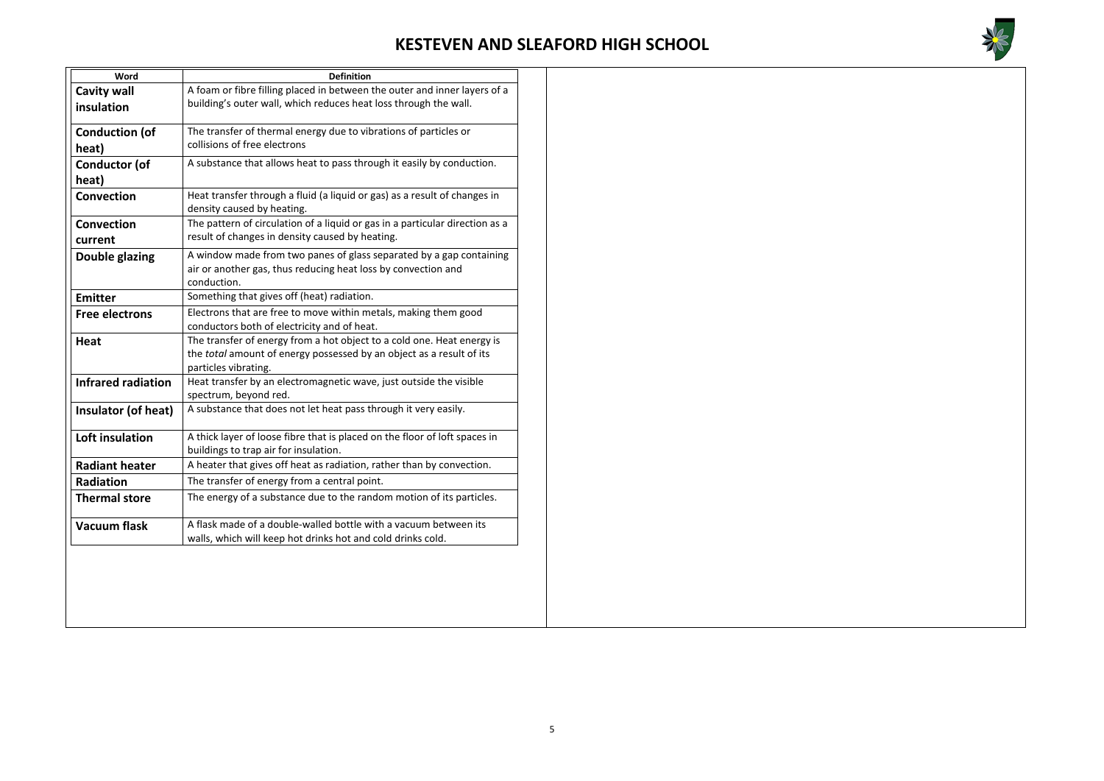

| Word                      | <b>Definition</b>                                                                                                                                                      |
|---------------------------|------------------------------------------------------------------------------------------------------------------------------------------------------------------------|
| <b>Cavity wall</b>        | A foam or fibre filling placed in between the outer and inner layers of a                                                                                              |
| insulation                | building's outer wall, which reduces heat loss through the wall.                                                                                                       |
| <b>Conduction (of</b>     | The transfer of thermal energy due to vibrations of particles or                                                                                                       |
| heat)                     | collisions of free electrons                                                                                                                                           |
| <b>Conductor (of</b>      | A substance that allows heat to pass through it easily by conduction.                                                                                                  |
| heat)                     |                                                                                                                                                                        |
| <b>Convection</b>         | Heat transfer through a fluid (a liquid or gas) as a result of changes in<br>density caused by heating.                                                                |
| <b>Convection</b>         | The pattern of circulation of a liquid or gas in a particular direction as a                                                                                           |
| current                   | result of changes in density caused by heating.                                                                                                                        |
| <b>Double glazing</b>     | A window made from two panes of glass separated by a gap containing<br>air or another gas, thus reducing heat loss by convection and<br>conduction.                    |
| <b>Emitter</b>            | Something that gives off (heat) radiation.                                                                                                                             |
| <b>Free electrons</b>     | Electrons that are free to move within metals, making them good<br>conductors both of electricity and of heat.                                                         |
| <b>Heat</b>               | The transfer of energy from a hot object to a cold one. Heat energy is<br>the total amount of energy possessed by an object as a result of its<br>particles vibrating. |
| <b>Infrared radiation</b> | Heat transfer by an electromagnetic wave, just outside the visible<br>spectrum, beyond red.                                                                            |
| Insulator (of heat)       | A substance that does not let heat pass through it very easily.                                                                                                        |
| Loft insulation           | A thick layer of loose fibre that is placed on the floor of loft spaces in<br>buildings to trap air for insulation.                                                    |
| <b>Radiant heater</b>     | A heater that gives off heat as radiation, rather than by convection.                                                                                                  |
| <b>Radiation</b>          | The transfer of energy from a central point.                                                                                                                           |
| <b>Thermal store</b>      | The energy of a substance due to the random motion of its particles.                                                                                                   |
| <b>Vacuum flask</b>       | A flask made of a double-walled bottle with a vacuum between its<br>walls, which will keep hot drinks hot and cold drinks cold.                                        |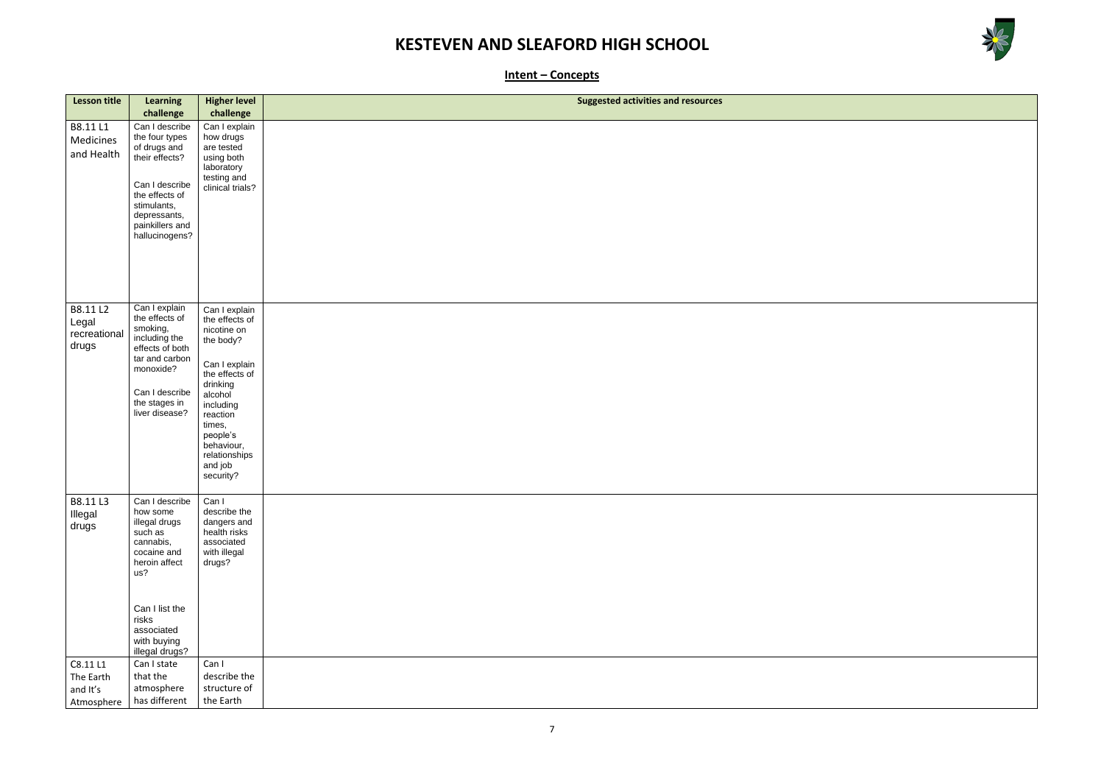



**Intent – Concepts**

| <b>Lesson title</b>                        | <b>Learning</b>                                                                                                                                                                      | <b>Higher level</b>                                                                                                                                                                                                         | <b>Suggested activities and resources</b> |
|--------------------------------------------|--------------------------------------------------------------------------------------------------------------------------------------------------------------------------------------|-----------------------------------------------------------------------------------------------------------------------------------------------------------------------------------------------------------------------------|-------------------------------------------|
|                                            | challenge                                                                                                                                                                            | challenge                                                                                                                                                                                                                   |                                           |
| B8.11L1<br>Medicines<br>and Health         | Can I describe<br>the four types<br>of drugs and<br>their effects?<br>Can I describe<br>the effects of<br>stimulants,<br>depressants,<br>painkillers and<br>hallucinogens?           | Can I explain<br>how drugs<br>are tested<br>using both<br>laboratory<br>testing and<br>clinical trials?                                                                                                                     |                                           |
| B8.11 L2<br>Legal<br>recreational<br>drugs | Can I explain<br>the effects of<br>smoking,<br>including the<br>effects of both<br>tar and carbon<br>monoxide?<br>Can I describe<br>the stages in<br>liver disease?                  | Can I explain<br>the effects of<br>nicotine on<br>the body?<br>Can I explain<br>the effects of<br>drinking<br>alcohol<br>including<br>reaction<br>times,<br>people's<br>behaviour,<br>relationships<br>and job<br>security? |                                           |
| B8.11L3<br>Illegal<br>drugs                | Can I describe<br>how some<br>illegal drugs<br>such as<br>cannabis,<br>cocaine and<br>heroin affect<br>us?<br>Can I list the<br>risks<br>associated<br>with buying<br>illegal drugs? | Can I<br>describe the<br>dangers and<br>health risks<br>associated<br>with illegal<br>drugs?                                                                                                                                |                                           |
| C8.11 L1                                   | Can I state                                                                                                                                                                          | Can I                                                                                                                                                                                                                       |                                           |
| The Earth<br>and It's                      | that the<br>atmosphere                                                                                                                                                               | describe the<br>structure of                                                                                                                                                                                                |                                           |
| Atmosphere                                 | has different                                                                                                                                                                        | the Earth                                                                                                                                                                                                                   |                                           |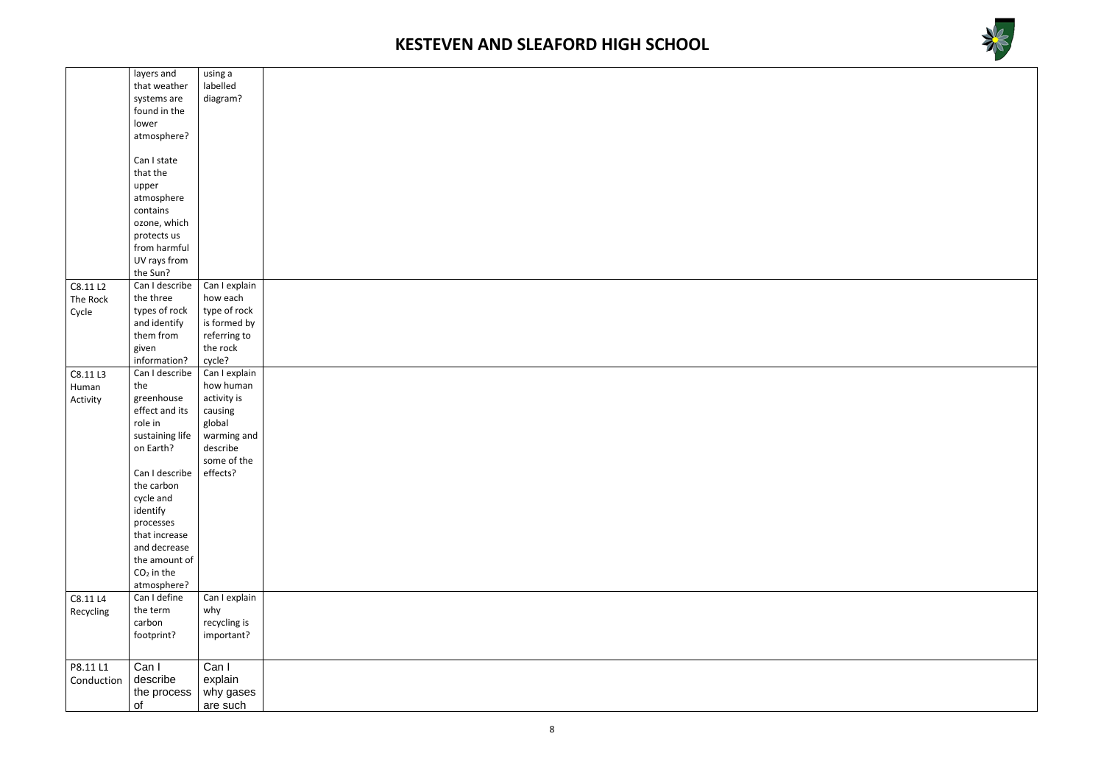



|            | layers and      | using a       |  |
|------------|-----------------|---------------|--|
|            | that weather    | labelled      |  |
|            | systems are     | diagram?      |  |
|            | found in the    |               |  |
|            | lower           |               |  |
|            | atmosphere?     |               |  |
|            |                 |               |  |
|            | Can I state     |               |  |
|            | that the        |               |  |
|            |                 |               |  |
|            | upper           |               |  |
|            | atmosphere      |               |  |
|            | contains        |               |  |
|            | ozone, which    |               |  |
|            | protects us     |               |  |
|            | from harmful    |               |  |
|            | UV rays from    |               |  |
|            | the Sun?        |               |  |
| C8.11 L2   | Can I describe  | Can I explain |  |
| The Rock   | the three       | how each      |  |
| Cycle      | types of rock   | type of rock  |  |
|            | and identify    | is formed by  |  |
|            | them from       | referring to  |  |
|            | given           | the rock      |  |
|            | information?    | cycle?        |  |
|            |                 |               |  |
| C8.11L3    | Can I describe  | Can I explain |  |
| Human      | the             | how human     |  |
| Activity   | greenhouse      | activity is   |  |
|            | effect and its  | causing       |  |
|            | role in         | global        |  |
|            | sustaining life | warming and   |  |
|            | on Earth?       | describe      |  |
|            |                 | some of the   |  |
|            | Can I describe  | effects?      |  |
|            | the carbon      |               |  |
|            | cycle and       |               |  |
|            | identify        |               |  |
|            | processes       |               |  |
|            | that increase   |               |  |
|            | and decrease    |               |  |
|            | the amount of   |               |  |
|            | $CO2$ in the    |               |  |
|            |                 |               |  |
|            | atmosphere?     |               |  |
| C8.11 L4   | Can I define    | Can I explain |  |
| Recycling  | the term        | why           |  |
|            | carbon          | recycling is  |  |
|            | footprint?      | important?    |  |
|            |                 |               |  |
|            |                 |               |  |
| P8.11 L1   | Can I           | Can I         |  |
| Conduction | describe        | explain       |  |
|            | the process     | why gases     |  |
|            | of              | are such      |  |